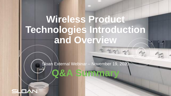\$ \$1 1

Sloan External Webinar – November 19, 2020 **Q&A Summary**

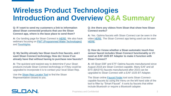**Q: If I want to send my customers a link to information about Sloan connected products that use the Sloan Connect app, where is the base place to send them?**

**A:** Our landing page for Sloan Connect is [HERE](https://www.sloan.com/design/connected-products). We also have webinars focusing on [PWT \(Programmed Water Technologies\)](https://www.sloan.com/resources/education/webinars/programmed-water-technology-launch-overview-enhancements) and [Tooshlights](https://www.sloan.com/resources/education/webinars/introduction-tooshlights-restroom-traffic-management-system).

### **Q: My facility already has Sloan touch-free faucets, and I want Sloan Connect technology. How do I know if we already have that without having to purchase new faucets?**

**A:** The quickest and easiest way to determine if your Sloan products include Sloan Connect technology or if they could be upgraded to incorporate it is to contact your local Sloan Rep.

Use the [Sloan Rep Locator Tool](https://www.sloan.com/company/support/where-to-buy) to find the Sloan Representative closest to you.

#### **Q: Are there any videos from Sloan that show how Sloan Connect works?**

**A:** Yes. Optima faucets with Sloan Connect can be seen in the video [HERE](https://vimeo.com/282573819). The Sloan Connect app being used can be seen [HERE](https://vimeo.com/472228825).

#### **Q: How do I know whether a Sloan automatic touch-free sensor faucet includes Sloan Connect functionality or if I need an EAF-1025 BT Adapter to make it function with Sloan Connect?**

**A:** All Sloan EBF and ETF Optima faucets manufactured since August 2018 are Sloan Connect-capable. Many EAF and all EFX (BASYS) faucets manufactured after 2015 can be upgraded to Sloan Connect with a EAF-1025 BT Adapter.

The Sloan online [Faucet Finder](https://www.sloan.com/commercial-bathroom-products/product-configurator/faucets) tool sorts Sloan Connectcapable faucets by using the menu on the left hand side of the tool to filter by "Smart Faucet". It sorts by faucets that either include Bluetooth or require a Bluetooth adapter.

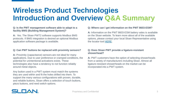#### **Q: Is the PWT management software able to adapt to a facility BMS (Building Management System)?**

**A:** Yes. The Sloan PWT2 software supports Modbus BMS protocols. If BMS integration is desired an optional Modbus application software package is available.

#### **Q: Can PWT buttons be replaced with proximity sensors?**

**A:** Proximity (capacitance) sensors are not ideal for many applications. Due to user preference or cramped conditions, the potential for unintentional activations exists. These technologies also have a tendency to not function reliably around metal objects.

Any button used in a PWT system must match the systems they are used within and fit the holes drilled into them. To support the many various configurations with proven, durable, and reliable buttons, Sloan offers a selection of touch buttons, piezo buttons, and reed switch options.

#### **Q: Where can I get information on the PWT 8603-ESM?**

**A:** Information on the PWT 8603-ESM battery vales is available on the Sloan website. To learn more about all of the available options, please contact your local Sloan Representative using the locator tool [HERE.](https://www.sloan.com/company/support/where-to-buy)

#### **Q: Does Sloan PWT provide a ligature-resistant showerhead?**

**A:** PWT customers have the option of selecting showerheads from a variety of manufacturers including Sloan. Almost all ligature-resistant showerheads on the market can be incorporated into a PWT system.

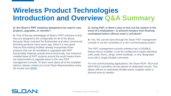#### **Q: Are Sloan's PWT solutions designed to be used in new projects, upgrades, or retrofits?**

**A:** One of the key advantages of Sloan's PWT solutions is that they are designed to be configurable for all of the above. Because Sloan invented the flushometer and other commercial plumbing products many years ago, there is a very good chance that existing facilities already incorporate Sloan products that can be retrofitted or upgraded with PWT functionality relatively quickly and economically. Our extensive installed base of PWT systems around the world means there are opportunities to upgrade these to the new PWT management console. To learn more about all of the available options, please contact your local Sloan Representative using the locator tool [HERE.](https://www.sloan.com/company/support/where-to-buy)

**Q: Using PWT, is there a way to lock out the system in the event of a shakedown - to prevent inmates from flushing contraband before officers enter a cell block?**

**A:** Yes, this can be done through the Sloan PWT management console or via the controllers in a non-communicating system.

The PWT management console software has a DISABLE feature that is scalable. It can be configured to target individual cells, pods, floors, wings, entire buildings, or any designated zone with a single Disable command.

For non-communicating applications, the Sloan MCR- 4014 and MCR-8012 controllers can be placed on dedicated circuits. This allows officers to selectively disable power supplies within a desired area as needed.

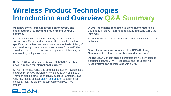**Q: In new construction, is it common to specify one manufacturer's fixtures and another manufacturer's controls?** 

**A:** Yes, it is quite common for a facility to utilize different vendors for different product groups. There may be a written specification that has one vendor noted as the "basis of design" and then identify other manufacturers or state "or equal." This provides options to help ensure a competitive bid that may be answered by multiple vendors.

### **Q: Can PWT products operate with 220V/50hZ or other power supplies for international markets?**

**A:** Yes. In North America and other locations, PWT systems are powered by 24 VAC transformers that use 120V/60hZ input. They can also be powered by locally supplied transformers as required. Please contact [Sloan Tech Support](mailto:techsupport@sloan.com) to confirm if a particular local transformer is compatible with your PWT system.

**Q: Are Tooshlights connected to Sloan flushometers, so that if a flush valve malfunctions it automatically turns the light red?**

**A:** Tooshlights are not directly connected to Sloan flushometers at this time.

#### **Q: Are these systems connected to a BMS (Building Management System), or are they stand alone only?**

**A:** The Sloan Connect-enabled products are not connected to a buildings network. PWT, Tooshlights, and the upcoming "Best" systems can be integrated with a BMS.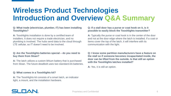#### **Q: What trade (electrician, plumber, IT) has been installing Tooshlights?**

**A:** Tooshlights installation is done by a certified team of installers. It does not require a trade electrician, and no plumbing is involved. The hubs send data to the cloud through LTE cellular, so IT doesn't need to be involved.

#### **Q: Are the Tooshlights batteries special – do you need to buy them from Sloan?**

**A:** The latch utilizes a custom lithium battery that is purchased from Sloan. The future deadbolt uses two standard AA batteries.

#### **Q: What comes in a Tooshlights kit?**

**A:** The Tooshlights kit consists of a smart latch, an indicator light, a mount, and the installation hardware.

#### **Q: If a stall door has a purse or coat hook on it, is it possible to easily block the Tooshlights transmitter?**

**A:** Typically the purse or coat hook is in the center of the door and not at the door edge where the latch is installed. If a coat or items cover the top of the latch, it will interfere with its communication with the light.

**Q: I know some partition manufacturers have a feature on the stall so if someone becomes incapacitated inside, the door can be lifted from the outside. Is that still an option with the Tooshlights latches installed?**

**A:** Yes, it is still an option.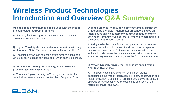#### **Q: Is the Tooshlights hub able to be used with the rest of the connected restroom products?**

**A:** For now, the Tooshlights hub is a separate product and provides its own data stream.

### **Q: Is your Tooshlights lock hardware compatible with, say, All American Metal Partitions, Lenox, Mills, or the likes?**

**A:** The latch hardware is compatible with most partition doors. One exception is glass partition doors, which cannot be drilled.

### **Q: What is the Tooshlights warranty, and who will be providing technical assistance?**

**A:** There is a 1 year warranty on Tooshlights products. For technical assistance, you can contact Tech Support at Sloan. **Q: In the Sloan IoT world, how come occupancy cannot be triggered by the Sloan flushometer I/R sensor? Saves on latch issues and no customer would suspect flushometer activation. I imagine even before IoT capability something in the sensor could send a signal.** 

**A:** Using the latch to identify stall occupancy covers scenarios where an individual is in the stall for all purposes. It captures usage when someone isn't close enough to the flushometer to activate it. It also times the total time in the stall for cases when someone may remain inside long after the flushometer activation.

### **Q: Who is typically driving the Tooshlights specification? Architect, Owner, etc?**

**A:** The specification may be driven by different groups, depending on the type of installation. If it is new construction or a major renovation, a designer or architect could drive the spec. In upgrade or retrofit scenarios, the spec may be driven by the facilities manager and owner.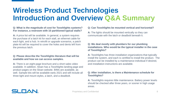#### **Q: What is the magnitude of cost for Tooshlights systems? For instance, a restroom with 10 partitioned typical stalls?**

**A:** A price list will be available. In general, a system requires the purchase of a latch kit for each stall, an ethernet cable for each light, and a hub. In retrofit or upgrade scenarios, a patch plate kit will be required to cover the holes and dents left from the previous latch.

### **Q: Please describe the Tooshlights literature that will be available and how we can access samples.**

**A:** There is an eight-page brochure and a short sales video available. In addition, Sloan has a Tooshlights landing page and product pages on the Sloan website. BIMs are available, as well. Sample kits will be available early 2021 and will include all three light and mount styles, a latch, and a deadbolt.

#### **Q: Can Tooshlights be mounted vertical and horizontal?**

**A:** The lights should be mounted vertically so they can communicate with the latch or deadbolt beneath it.

#### **Q: We deal mostly with plumbers for our plumbing installations. Who would be the typical installer in the case of Tooshlights?**

**A:** Tooshlights has three installation organizations that typically install the system, and each is certified to install the product. The product can be installed by a maintenance individual if desired, and installation instructions are available.

### **Q: After installation, is there a Maintenance schedule for Tooshlights?**

**A:** Tooshlights requires little maintenance. Battery power levels should be checked after three years, or sooner in high usage areas.

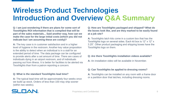**Q: I am just wondering if there are plans for some sort of Tooshlights ROI information that is compiled that will be part of the sales materials... Said another way, how can we make the case for the large initial costs (which you did not indicate but I am assuming these are costly)?** 

**A:** The key case is in customer satisfaction and in a higher level of hygiene in the restroom. Another key value proposition is the ability to detect when an individual is in a stall for an extended period of time. The data package can be configured to provide alerts after a set amount of time. There are cases of individuals dying in an airport restroom, and of individuals passing out from illness. It is better for facilities to be alerted via Tooshlights than from a patron reporting a concern.

#### **Q: What is the standard Tooshlights lead time?**

**A:** The typical lead time will be approximately four weeks once we build up stock. Orders of less than 100 may ship sooner (within two weeks).

**Q: How are Tooshlights packaged and shipped? What do the boxes look like, and are they marked to be easily found at a job site?** 

**A:** Tooshlights latch kits come in a custom box that has the Tooshlights logo on several sides. Each kit box is 12" x 12" x 3.25". Other product packaging and shipping boxes have the Tooshlights logo on them.

#### **Q: Are there Tooshlights installation videos available?**

**A:** An installation video will be available in November.

#### **Q: Can Tooshlights be applied to dressing rooms?**

**A:** Tooshlights can be installed on any room with a frame door or a partition door that latches, including dressing rooms.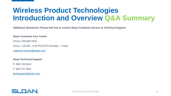**Additional Questions? Please feel free to contact Sloan Customer Service or Technical Support.**

#### **Sloan Customer Care Center**

Phone: 800.982.5839

Hours: 7:00 AM - 5:00 PM (CST) Monday – Friday

[customer.service@sloan.com](mailto:customer.service@sloan.com)

#### **Sloan Technical Support**

P: 888.756.2614

F: 800.737.3061

[techsupport@sloan.com](mailto:techsupport@sloan.com)